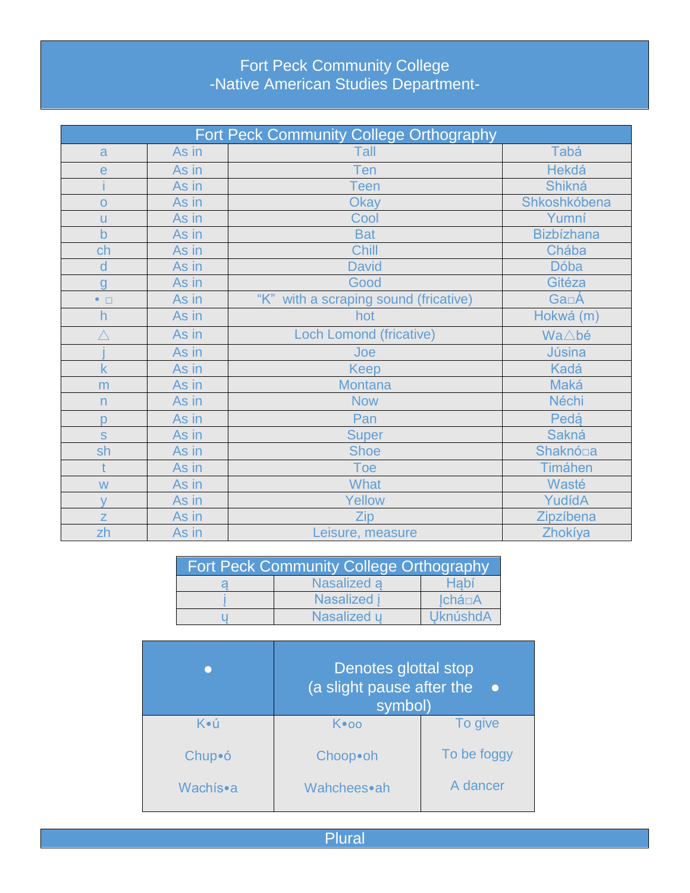## Fort Peck Community College<br>-Native American Studies Department-

| Fort Peck Community College Orthography |       |                                       |                   |
|-----------------------------------------|-------|---------------------------------------|-------------------|
| a                                       | As in | Tall                                  | Tabá              |
| $\mathsf{e}$                            | As in | Ten                                   | <b>Hekdá</b>      |
|                                         | As in | een <sup>-</sup>                      | <b>Shikná</b>     |
| $\Omega$                                | As in | <b>Okay</b>                           | Shkoshkóbena      |
| u                                       | As in | Cool                                  | Yumní             |
| $\mathsf b$                             | As in | <b>Bat</b>                            | <b>Bizbízhana</b> |
| ch                                      | As in | Chill                                 | Chába             |
| d                                       | As in | <b>David</b>                          | <b>Dóba</b>       |
| g                                       | As in | Good                                  | Gitéza            |
| $\bullet$ $\Box$                        | As in | "K" with a scraping sound (fricative) | Ga <sub>□</sub> Á |
| h                                       | As in | hot                                   | Hokwá (m)         |
| $\overline{\wedge}$                     | As in | <b>Loch Lomond (fricative)</b>        | Wa∆bé             |
|                                         | As in | Joe                                   | <b>Júsina</b>     |
| $\mathsf k$                             | As in | Keep                                  | Kadá              |
| m                                       | As in | <b>Montana</b>                        | Maká              |
| n                                       | As in | <b>Now</b>                            | <b>Néchi</b>      |
| p                                       | As in | Pan                                   | Pedá              |
| $\mathbf S$                             | As in | <b>Super</b>                          | <b>Sakná</b>      |
| sh                                      | As in | <b>Shoe</b>                           | Shaknó□a          |
| $\ddagger$                              | As in | Toe                                   | <b>Timáhen</b>    |
| W                                       | As in | <b>What</b>                           | Wasté             |
| $\vee$                                  | As in | Yellow                                | YudídA            |
| $\overline{z}$                          | As in | Zip                                   | Zipzíbena         |
| zh                                      | As in | Leisure, measure                      | Zhokíya           |

| <b>Fort Peck Community College Orthography</b> |                  |          |  |  |
|------------------------------------------------|------------------|----------|--|--|
|                                                | Nasalized a      | Habi     |  |  |
|                                                | <b>Nasalized</b> | Ichá□A   |  |  |
|                                                | Nasalized u      | UknúshdA |  |  |

|          | Denotes glottal stop<br>(a slight pause after the<br>symbol) |             |  |
|----------|--------------------------------------------------------------|-------------|--|
| K∙ú      | K∙oo                                                         | To give     |  |
| Chup•ó   | Choop•oh                                                     | To be foggy |  |
| Wachís∙a | Wahchees•ah                                                  | A dancer    |  |

Plural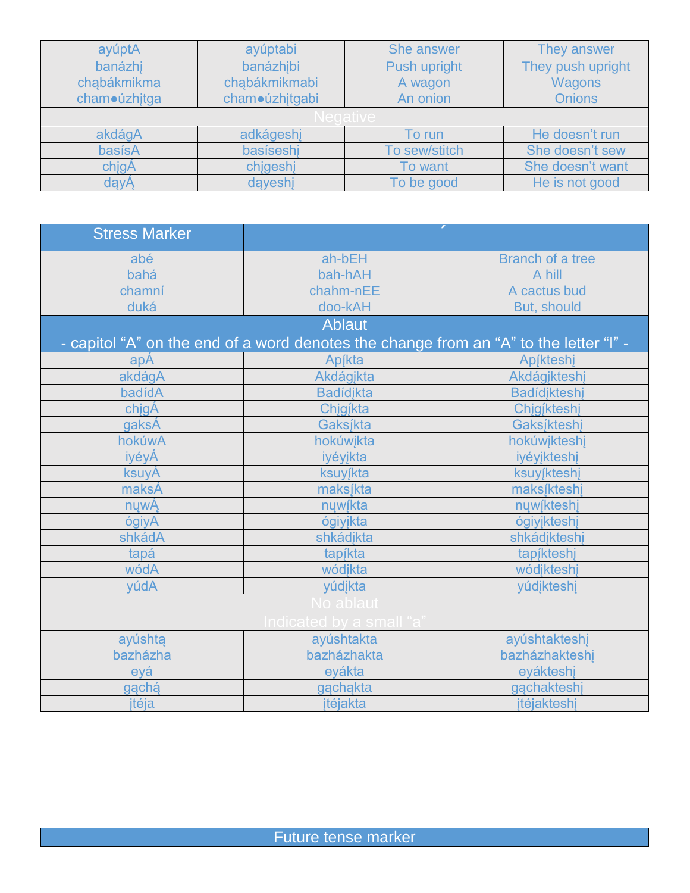| ayúptA       | ayúptabi       | <b>She answer</b> | They answer       |  |  |
|--------------|----------------|-------------------|-------------------|--|--|
| banázhi      | banázhibi      | Push upright      | They push upright |  |  |
| chabákmikma  | chąbákmikmabi  | A wagon           | <b>Wagons</b>     |  |  |
| cham•úzhjtga | cham•úzhjtgabi | An onion          | <b>Onions</b>     |  |  |
|              | edative        |                   |                   |  |  |
| akdágA       | adkágeshj      | To run            | He doesn't run    |  |  |
| basísA       | basíseshi      | To sew/stitch     | She doesn't sew   |  |  |
| chigA        | chigeshi       | To want           | She doesn't want  |  |  |
| dayA         | dayeshi        | To be good        | He is not good    |  |  |

| <b>Stress Marker</b> |                                                                                       |                         |
|----------------------|---------------------------------------------------------------------------------------|-------------------------|
| abé                  | ah-bEH                                                                                | <b>Branch of a tree</b> |
| bahá                 | bah-hAH                                                                               | A hill                  |
| chamní               | chahm-nEE                                                                             | A cactus bud            |
| duká                 | doo-kAH                                                                               | But, should             |
|                      | <b>Ablaut</b>                                                                         |                         |
|                      | - capitol "A" on the end of a word denotes the change from an "A" to the letter "I" - |                         |
| apA                  | Apjkta                                                                                | Apjkteshj               |
| akdágA               | Akdágikta                                                                             | Akdágjkteshj            |
| badídA               | <b>Badídjkta</b>                                                                      | <b>Badídjkteshj</b>     |
| chigA                | Chigíkta                                                                              | Chigíkteshi             |
| gaksÁ                | Gaksíkta                                                                              | Gaksíkteshj             |
| hokúwA               | hokúwikta                                                                             | hokúwikteshi            |
| iyéyÁ                | iyéyjkta                                                                              | iyéyikteshi             |
| ksuyA                | ksuyjkta                                                                              | ksuyíkteshi             |
| maksÁ                | maksįkta                                                                              | maksíkteshj             |
| nywA                 | nywíkta                                                                               | nywíkteshj              |
| ógiyA                | ógiyjkta                                                                              | ógiyjkteshj             |
| shkádA               | shkádjkta                                                                             | shkádjkteshj            |
| tapá                 | tapjkta                                                                               | tapíkteshi              |
| wódA                 | wódjkta                                                                               | wódjkteshi              |
| yúdA                 | yúdjkta                                                                               | yúdjkteshj              |
|                      | No ablaut                                                                             |                         |
|                      | Indicated by a small "a"                                                              |                         |
| ayúshta              | ayúshtakta                                                                            | ayúshtakteshj           |
| bazházha             | bazházhakta                                                                           | bazházhakteshi          |
| eyá                  | eyákta                                                                                | eyákteshi               |
| gąchą                | gąchąkta                                                                              | gachakteshi             |
| jtéja                | jtéjakta                                                                              | jtéjakteshj             |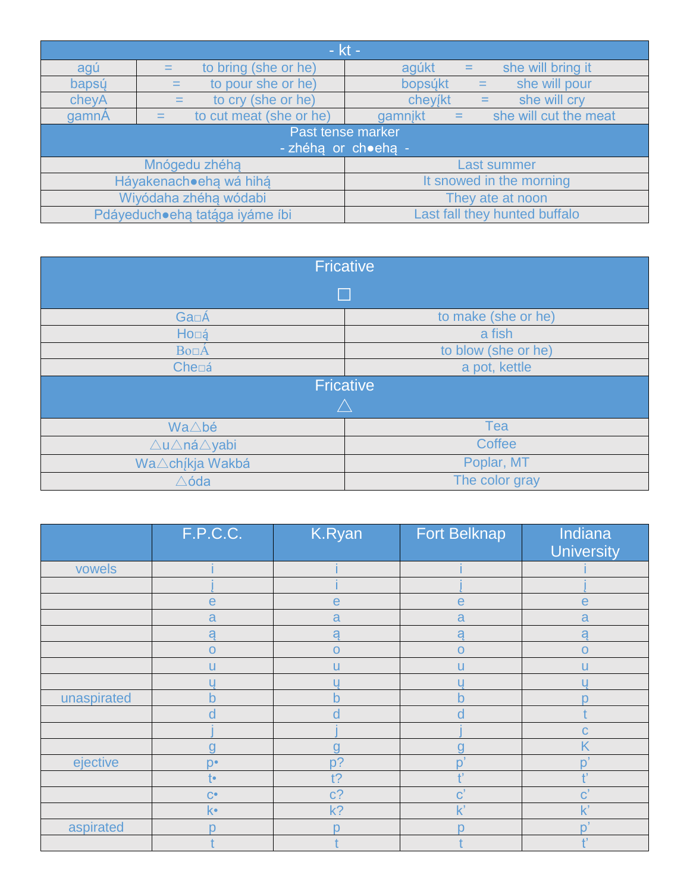| - kt -                          |                           |                                         |  |  |
|---------------------------------|---------------------------|-----------------------------------------|--|--|
| agú                             | to bring (she or he)      | she will bring it<br>agúkt<br>$=$       |  |  |
| bapsý                           | to pour she or he)<br>$=$ | bopsúkt<br>she will pour<br>$=$         |  |  |
| cheyA                           | to cry (she or he)        | she will cry<br>cheyjkt<br>$=$          |  |  |
| gamnA                           | to cut meat (she or he)   | she will cut the meat<br>gamnikt<br>$=$ |  |  |
|                                 |                           | Past tense marker                       |  |  |
|                                 | - zhéha or ch•eha -       |                                         |  |  |
| Mnógedu zhéha                   |                           | <b>Last summer</b>                      |  |  |
| Háyakenachoeha wá hihá          |                           | It snowed in the morning                |  |  |
| Wiyódaha zhéha wódabi           |                           | They ate at noon                        |  |  |
| Pdáyeducho eha tatága iyáme íbi |                           | Last fall they hunted buffalo           |  |  |

| <b>Fricative</b>                         |                     |  |  |
|------------------------------------------|---------------------|--|--|
| F.                                       |                     |  |  |
| <b>Ga</b> □Á                             | to make (she or he) |  |  |
| Ho⊡á                                     | a fish              |  |  |
| <b>Bo</b> <sub><math>\Delta</math></sub> | to blow (she or he) |  |  |
| Che⊡á                                    | a pot, kettle       |  |  |
|                                          | <b>Fricative</b>    |  |  |
|                                          |                     |  |  |
| Wa∆bé                                    | Tea                 |  |  |
| ∆u∆ná∆yabi                               | <b>Coffee</b>       |  |  |
| Wa∆chíkja Wakbá                          | Poplar, MT          |  |  |
| $\triangle$ óda                          | The color gray      |  |  |

|             | F.P.C.C.      | K.Ryan       | <b>Fort Belknap</b>   | Indiana<br><b>University</b> |
|-------------|---------------|--------------|-----------------------|------------------------------|
| vowels      |               |              |                       |                              |
|             |               |              |                       |                              |
|             | $\mathsf{e}$  | $\mathsf{e}$ | $\mathsf{e}$          | $\mathbf e$                  |
|             | a             | a            | a                     | a                            |
|             | a             | a            | a                     | a                            |
|             | $\Omega$      | $\mathbf O$  | $\overline{O}$        | $\Omega$                     |
|             | П             | u            | u                     | п                            |
|             |               |              |                       |                              |
| unaspirated | $\bullet$     | h            | b                     |                              |
|             |               |              |                       |                              |
|             |               |              |                       |                              |
|             | n             | g            |                       |                              |
| ejective    | $n \cdot$     | $p$ ?        | $\overline{O}$        |                              |
|             | t۰            | t?           | 上                     |                              |
|             | $C^{\bullet}$ | $c$ ?        | $\mathbf{C}^{\prime}$ |                              |
|             | k•            | $k$ ?        | $\mathsf{K}'$         |                              |
| aspirated   |               |              |                       |                              |
|             |               |              |                       | 1.7                          |